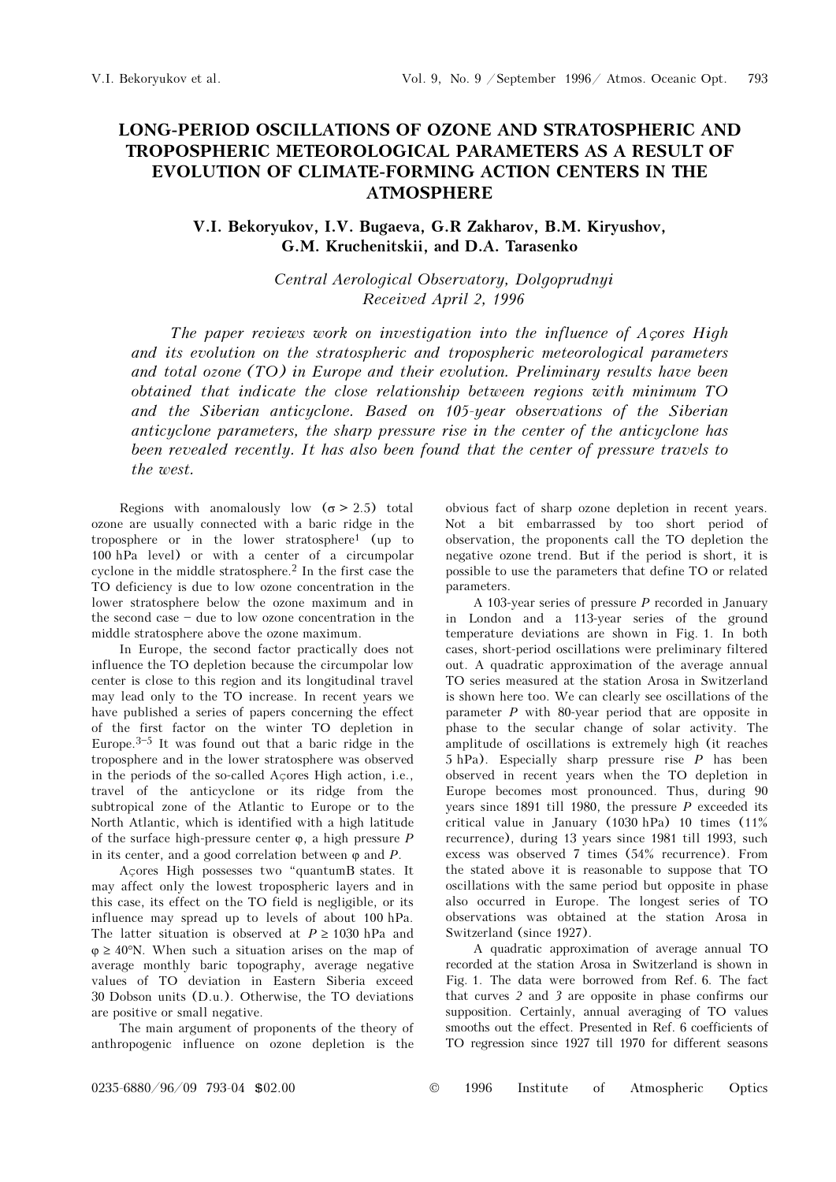## LONG-PERIOD OSCILLATIONS OF OZONE AND STRATOSPHERIC AND TROPOSPHERIC METEOROLOGICAL PARAMETERS AS A RESULT OF EVOLUTION OF CLIMATE-FORMING ACTION CENTERS IN THE ATMOSPHERE

## V.I. Bekoryukov, I.V. Bugaeva, G.R Zakharov, B.M. Kiryushov, G.M. Kruchenitskii, and D.A. Tarasenko

Central Aerological Observatory, Dolgoprudnyi Received April 2, 1996

The paper reviews work on investigation into the influence of Açores High and its evolution on the stratospheric and tropospheric meteorological parameters and total ozone (TO) in Europe and their evolution. Preliminary results have been obtained that indicate the close relationship between regions with minimum TO and the Siberian anticyclone. Based on 105-year observations of the Siberian anticyclone parameters, the sharp pressure rise in the center of the anticyclone has been revealed recently. It has also been found that the center of pressure travels to the west.

Regions with anomalously low  $(\sigma > 2.5)$  total ozone are usually connected with a baric ridge in the troposphere or in the lower stratosphere1 (up to 100 hPa level) or with a center of a circumpolar cyclone in the middle stratosphere.2 In the first case the TO deficiency is due to low ozone concentration in the lower stratosphere below the ozone maximum and in the second case  $-$  due to low ozone concentration in the middle stratosphere above the ozone maximum.

In Europe, the second factor practically does not influence the TO depletion because the circumpolar low center is close to this region and its longitudinal travel may lead only to the TO increase. In recent years we have published a series of papers concerning the effect of the first factor on the winter TO depletion in Europe. $3-5$  It was found out that a baric ridge in the troposphere and in the lower stratosphere was observed in the periods of the so-called Açores High action, i.e., travel of the anticyclone or its ridge from the subtropical zone of the Atlantic to Europe or to the North Atlantic, which is identified with a high latitude of the surface high-pressure center  $\varphi$ , a high pressure P in its center, and a good correlation between  $\varphi$  and  $P$ .

Acores High possesses two "quantumB states. It may affect only the lowest tropospheric layers and in this case, its effect on the TO field is negligible, or its influence may spread up to levels of about 100 hPa. The latter situation is observed at  $P \ge 1030$  hPa and  $\varphi \geq 40^{\circ}$ N. When such a situation arises on the map of average monthly baric topography, average negative values of TO deviation in Eastern Siberia exceed 30 Dobson units (D.u.). Otherwise, the TO deviations are positive or small negative.

The main argument of proponents of the theory of anthropogenic influence on ozone depletion is the obvious fact of sharp ozone depletion in recent years. Not a bit embarrassed by too short period of observation, the proponents call the TO depletion the negative ozone trend. But if the period is short, it is possible to use the parameters that define TO or related parameters.

A 103-year series of pressure  $P$  recorded in January in London and a 113-year series of the ground temperature deviations are shown in Fig. 1. In both cases, short-period oscillations were preliminary filtered out. A quadratic approximation of the average annual TO series measured at the station Arosa in Switzerland is shown here too. We can clearly see oscillations of the parameter  $P$  with 80-year period that are opposite in phase to the secular change of solar activity. The amplitude of oscillations is extremely high (it reaches 5 hPa). Especially sharp pressure rise P has been observed in recent years when the TO depletion in Europe becomes most pronounced. Thus, during 90 years since 1891 till 1980, the pressure  $P$  exceeded its critical value in January (1030 hPa) 10 times (11% recurrence), during 13 years since 1981 till 1993, such excess was observed 7 times (54% recurrence). From the stated above it is reasonable to suppose that TO oscillations with the same period but opposite in phase also occurred in Europe. The longest series of TO observations was obtained at the station Arosa in Switzerland (since 1927).

A quadratic approximation of average annual TO recorded at the station Arosa in Switzerland is shown in Fig. 1. The data were borrowed from Ref. 6. The fact that curves 2 and 3 are opposite in phase confirms our supposition. Certainly, annual averaging of TO values smooths out the effect. Presented in Ref. 6 coefficients of TO regression since 1927 till 1970 for different seasons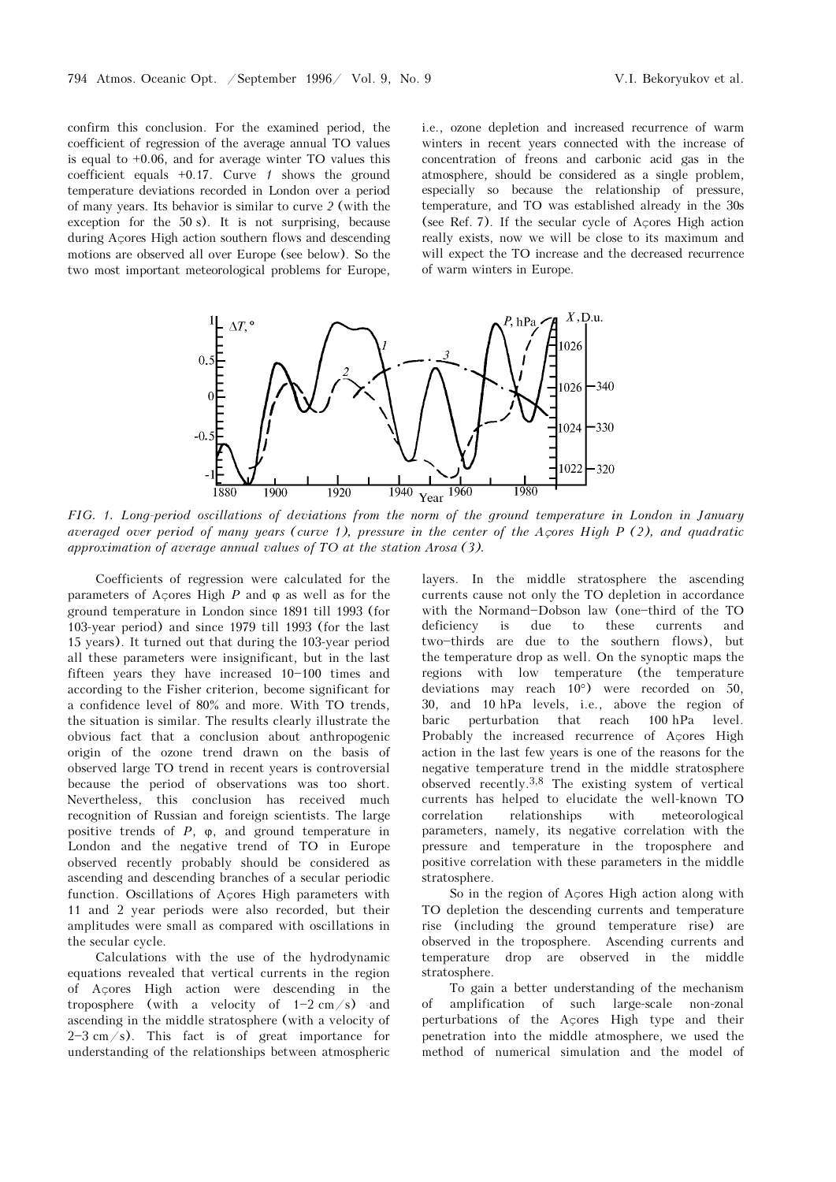confirm this conclusion. For the examined period, the coefficient of regression of the average annual TO values is equal to +0.06, and for average winter TO values this coefficient equals  $+0.17$ . Curve  $1$  shows the ground temperature deviations recorded in London over a period of many years. Its behavior is similar to curve 2 (with the exception for the 50 s). It is not surprising, because during Açores High action southern flows and descending motions are observed all over Europe (see below). So the two most important meteorological problems for Europe,

i.e., ozone depletion and increased recurrence of warm winters in recent years connected with the increase of concentration of freons and carbonic acid gas in the atmosphere, should be considered as a single problem, especially so because the relationship of pressure, temperature, and TO was established already in the 30s (see Ref. 7). If the secular cycle of Açores High action really exists, now we will be close to its maximum and will expect the TO increase and the decreased recurrence of warm winters in Europe.



FIG. 1. Long-period oscillations of deviations from the norm of the ground temperature in London in January averaged over period of many years (curve 1), pressure in the center of the Açores High P (2), and quadratic approximation of average annual values of TO at the station Arosa (3).

Coefficients of regression were calculated for the parameters of Acores High  $P$  and  $\varphi$  as well as for the ground temperature in London since 1891 till 1993 (for 103-year period) and since 1979 till 1993 (for the last 15 years). It turned out that during the 103-year period all these parameters were insignificant, but in the last fifteen years they have increased  $10-100$  times and according to the Fisher criterion, become significant for a confidence level of 80% and more. With TO trends, the situation is similar. The results clearly illustrate the obvious fact that a conclusion about anthropogenic origin of the ozone trend drawn on the basis of observed large TO trend in recent years is controversial because the period of observations was too short. Nevertheless, this conclusion has received much recognition of Russian and foreign scientists. The large positive trends of  $P$ ,  $\varphi$ , and ground temperature in London and the negative trend of TO in Europe observed recently probably should be considered as ascending and descending branches of a secular periodic function. Oscillations of Açores High parameters with 11 and 2 year periods were also recorded, but their amplitudes were small as compared with oscillations in the secular cycle.

Calculations with the use of the hydrodynamic equations revealed that vertical currents in the region of Açores High action were descending in the troposphere (with a velocity of  $1-2$  cm/s) and ascending in the middle stratosphere (with a velocity of  $2-3$  cm/s). This fact is of great importance for understanding of the relationships between atmospheric

layers. In the middle stratosphere the ascending currents cause not only the TO depletion in accordance with the Normand-Dobson law (one-third of the TO deficiency is due to these currents and two-thirds are due to the southern flows), but the temperature drop as well. On the synoptic maps the regions with low temperature (the temperature deviations may reach 10°) were recorded on 50, 30, and 10 hPa levels, i.e., above the region of baric perturbation that reach 100 hPa level. Probably the increased recurrence of Açores High action in the last few years is one of the reasons for the negative temperature trend in the middle stratosphere observed recently.3,8 The existing system of vertical currents has helped to elucidate the well-known TO correlation relationships with meteorological parameters, namely, its negative correlation with the pressure and temperature in the troposphere and positive correlation with these parameters in the middle stratosphere.

So in the region of Açores High action along with TO depletion the descending currents and temperature rise (including the ground temperature rise) are observed in the troposphere. Ascending currents and temperature drop are observed in the middle stratosphere.

To gain a better understanding of the mechanism amplification of such large-scale non-zonal perturbations of the Açores High type and their penetration into the middle atmosphere, we used the method of numerical simulation and the model of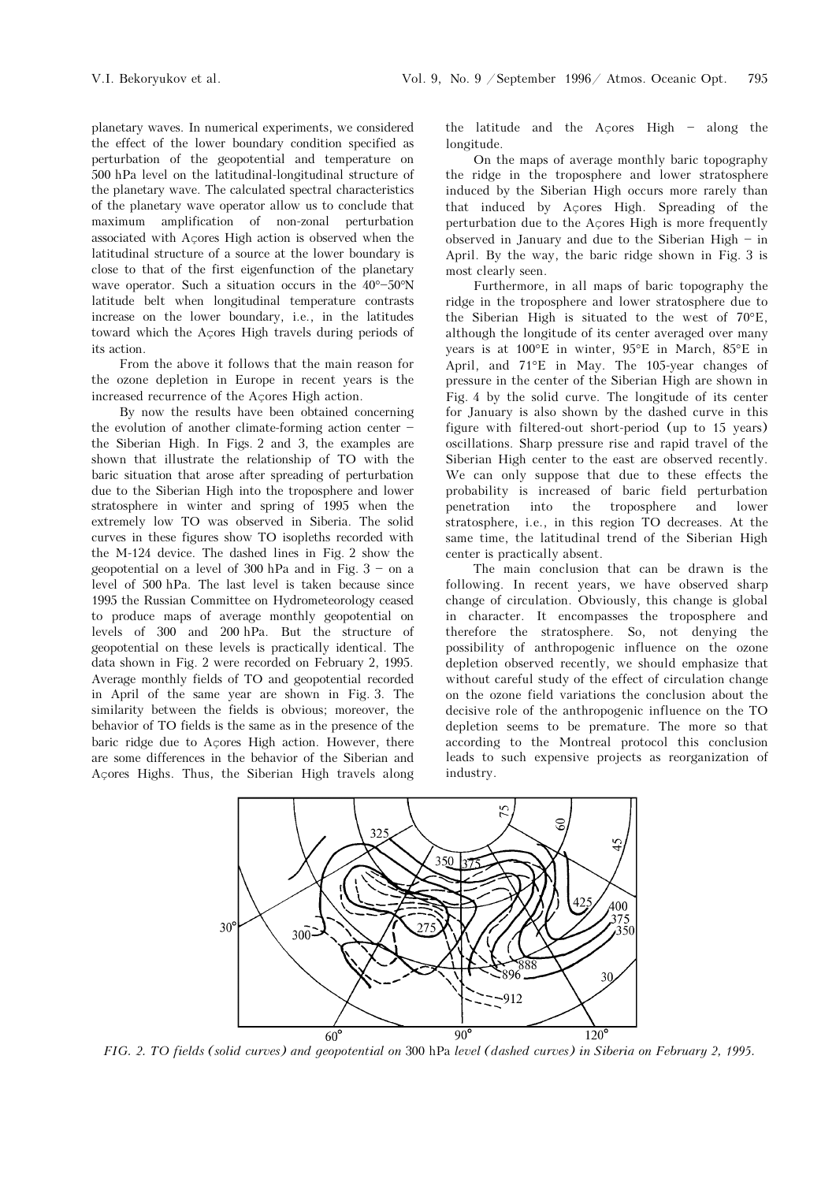planetary waves. In numerical experiments, we considered the effect of the lower boundary condition specified as perturbation of the geopotential and temperature on 500 hPa level on the latitudinal-longitudinal structure of the planetary wave. The calculated spectral characteristics of the planetary wave operator allow us to conclude that maximum amplification of non-zonal perturbation associated with Açores High action is observed when the latitudinal structure of a source at the lower boundary is close to that of the first eigenfunction of the planetary wave operator. Such a situation occurs in the  $40^{\circ}-50^{\circ}N$ latitude belt when longitudinal temperature contrasts increase on the lower boundary, i.e., in the latitudes toward which the Açores High travels during periods of its action.

From the above it follows that the main reason for the ozone depletion in Europe in recent years is the increased recurrence of the Açores High action.

By now the results have been obtained concerning the evolution of another climate-forming action center  $\overline{\phantom{a}}$ the Siberian High. In Figs. 2 and 3, the examples are shown that illustrate the relationship of TO with the baric situation that arose after spreading of perturbation due to the Siberian High into the troposphere and lower stratosphere in winter and spring of 1995 when the extremely low TO was observed in Siberia. The solid curves in these figures show TO isopleths recorded with the M-124 device. The dashed lines in Fig. 2 show the geopotential on a level of 300 hPa and in Fig.  $3 -$  on a level of 500 hPa. The last level is taken because since 1995 the Russian Committee on Hydrometeorology ceased to produce maps of average monthly geopotential on levels of 300 and 200 hPa. But the structure of geopotential on these levels is practically identical. The data shown in Fig. 2 were recorded on February 2, 1995. Average monthly fields of TO and geopotential recorded in April of the same year are shown in Fig. 3. The similarity between the fields is obvious; moreover, the behavior of TO fields is the same as in the presence of the baric ridge due to Açores High action. However, there are some differences in the behavior of the Siberian and Açores Highs. Thus, the Siberian High travels along the latitude and the Açores High  $-$  along the longitude.

On the maps of average monthly baric topography the ridge in the troposphere and lower stratosphere induced by the Siberian High occurs more rarely than that induced by Açores High. Spreading of the perturbation due to the Açores High is more frequently observed in January and due to the Siberian High  $-$  in April. By the way, the baric ridge shown in Fig. 3 is most clearly seen.

Furthermore, in all maps of baric topography the ridge in the troposphere and lower stratosphere due to the Siberian High is situated to the west of 70°E, although the longitude of its center averaged over many years is at 100°E in winter, 95°E in March, 85°E in April, and 71°E in May. The 105-year changes of pressure in the center of the Siberian High are shown in Fig. 4 by the solid curve. The longitude of its center for January is also shown by the dashed curve in this figure with filtered-out short-period (up to 15 years) oscillations. Sharp pressure rise and rapid travel of the Siberian High center to the east are observed recently. We can only suppose that due to these effects the probability is increased of baric field perturbation penetration into the troposphere and lower stratosphere, i.e., in this region TO decreases. At the same time, the latitudinal trend of the Siberian High center is practically absent.

The main conclusion that can be drawn is the following. In recent years, we have observed sharp change of circulation. Obviously, this change is global in character. It encompasses the troposphere and therefore the stratosphere. So, not denying the possibility of anthropogenic influence on the ozone depletion observed recently, we should emphasize that without careful study of the effect of circulation change on the ozone field variations the conclusion about the decisive role of the anthropogenic influence on the TO depletion seems to be premature. The more so that according to the Montreal protocol this conclusion leads to such expensive projects as reorganization of industry.



FIG. 2. TO fields (solid curves) and geopotential on 300 hPa level (dashed curves) in Siberia on February 2, 1995.